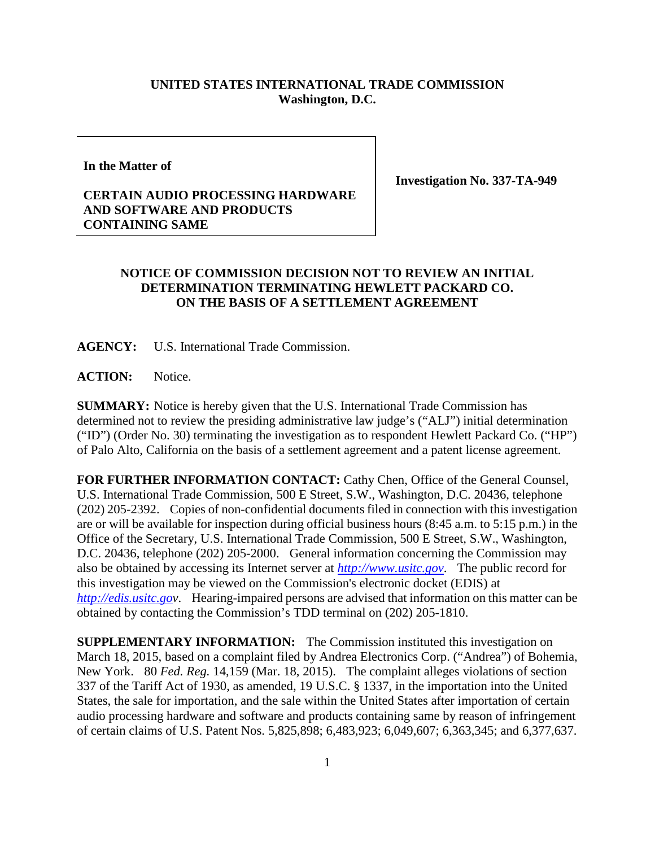## **UNITED STATES INTERNATIONAL TRADE COMMISSION Washington, D.C.**

**In the Matter of**

## **CERTAIN AUDIO PROCESSING HARDWARE AND SOFTWARE AND PRODUCTS CONTAINING SAME**

**Investigation No. 337-TA-949**

## **NOTICE OF COMMISSION DECISION NOT TO REVIEW AN INITIAL DETERMINATION TERMINATING HEWLETT PACKARD CO. ON THE BASIS OF A SETTLEMENT AGREEMENT**

**AGENCY:** U.S. International Trade Commission.

ACTION: Notice.

**SUMMARY:** Notice is hereby given that the U.S. International Trade Commission has determined not to review the presiding administrative law judge's ("ALJ") initial determination ("ID") (Order No. 30) terminating the investigation as to respondent Hewlett Packard Co. ("HP") of Palo Alto, California on the basis of a settlement agreement and a patent license agreement.

**FOR FURTHER INFORMATION CONTACT:** Cathy Chen, Office of the General Counsel, U.S. International Trade Commission, 500 E Street, S.W., Washington, D.C. 20436, telephone (202) 205-2392. Copies of non-confidential documents filed in connection with this investigation are or will be available for inspection during official business hours (8:45 a.m. to 5:15 p.m.) in the Office of the Secretary, U.S. International Trade Commission, 500 E Street, S.W., Washington, D.C. 20436, telephone (202) 205-2000. General information concerning the Commission may also be obtained by accessing its Internet server at *[http://www.usitc.gov](http://www.usitc.gov/)*. The public record for this investigation may be viewed on the Commission's electronic docket (EDIS) at *[http://edis.usitc.gov](http://edis.usitc.go/)*. Hearing-impaired persons are advised that information on this matter can be obtained by contacting the Commission's TDD terminal on (202) 205-1810.

**SUPPLEMENTARY INFORMATION:** The Commission instituted this investigation on March 18, 2015, based on a complaint filed by Andrea Electronics Corp. ("Andrea") of Bohemia, New York. 80 *Fed. Reg.* 14,159 (Mar. 18, 2015). The complaint alleges violations of section 337 of the Tariff Act of 1930, as amended, 19 U.S.C. § 1337, in the importation into the United States, the sale for importation, and the sale within the United States after importation of certain audio processing hardware and software and products containing same by reason of infringement of certain claims of U.S. Patent Nos. 5,825,898; 6,483,923; 6,049,607; 6,363,345; and 6,377,637.